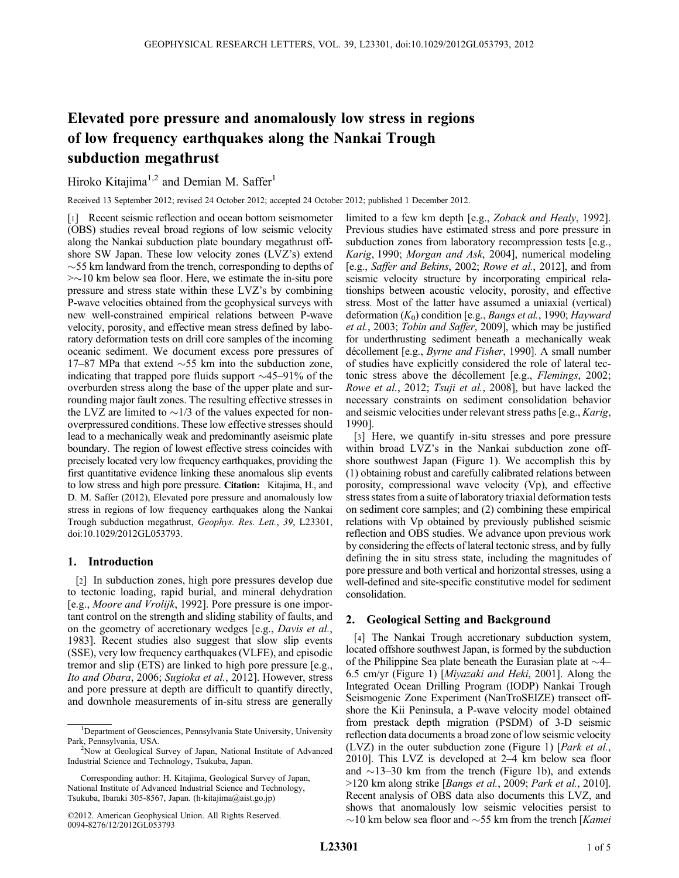# Elevated pore pressure and anomalously low stress in regions of low frequency earthquakes along the Nankai Trough subduction megathrust

Hiroko Kitajima<sup>1,2</sup> and Demian M. Saffer<sup>1</sup>

Received 13 September 2012; revised 24 October 2012; accepted 24 October 2012; published 1 December 2012.

[1] Recent seismic reflection and ocean bottom seismometer (OBS) studies reveal broad regions of low seismic velocity along the Nankai subduction plate boundary megathrust offshore SW Japan. These low velocity zones (LVZ's) extend  $\sim$ 55 km landward from the trench, corresponding to depths of  $\approx$  10 km below sea floor. Here, we estimate the in-situ pore pressure and stress state within these LVZ's by combining P-wave velocities obtained from the geophysical surveys with new well-constrained empirical relations between P-wave velocity, porosity, and effective mean stress defined by laboratory deformation tests on drill core samples of the incoming oceanic sediment. We document excess pore pressures of 17–87 MPa that extend  $\sim$  55 km into the subduction zone, indicating that trapped pore fluids support  $\sim$ 45–91% of the overburden stress along the base of the upper plate and surrounding major fault zones. The resulting effective stresses in the LVZ are limited to  $\sim 1/3$  of the values expected for nonoverpressured conditions. These low effective stresses should lead to a mechanically weak and predominantly aseismic plate boundary. The region of lowest effective stress coincides with precisely located very low frequency earthquakes, providing the first quantitative evidence linking these anomalous slip events to low stress and high pore pressure. Citation: Kitajima, H., and D. M. Saffer (2012), Elevated pore pressure and anomalously low stress in regions of low frequency earthquakes along the Nankai Trough subduction megathrust, Geophys. Res. Lett., 39, L23301, doi:10.1029/2012GL053793.

## 1. Introduction

[2] In subduction zones, high pore pressures develop due to tectonic loading, rapid burial, and mineral dehydration [e.g., Moore and Vrolijk, 1992]. Pore pressure is one important control on the strength and sliding stability of faults, and on the geometry of accretionary wedges [e.g., Davis et al., 1983]. Recent studies also suggest that slow slip events (SSE), very low frequency earthquakes (VLFE), and episodic tremor and slip (ETS) are linked to high pore pressure [e.g., Ito and Obara, 2006; Sugioka et al., 2012]. However, stress and pore pressure at depth are difficult to quantify directly, and downhole measurements of in-situ stress are generally

limited to a few km depth [e.g., Zoback and Healy, 1992]. Previous studies have estimated stress and pore pressure in subduction zones from laboratory recompression tests [e.g., Karig, 1990; Morgan and Ask, 2004], numerical modeling [e.g., Saffer and Bekins, 2002; Rowe et al., 2012], and from seismic velocity structure by incorporating empirical relationships between acoustic velocity, porosity, and effective stress. Most of the latter have assumed a uniaxial (vertical) deformation  $(K_0)$  condition [e.g., *Bangs et al.*, 1990; *Hayward* et al., 2003; Tobin and Saffer, 2009], which may be justified for underthrusting sediment beneath a mechanically weak décollement [e.g., Byrne and Fisher, 1990]. A small number of studies have explicitly considered the role of lateral tectonic stress above the décollement [e.g., Flemings, 2002; Rowe et al., 2012; Tsuji et al., 2008], but have lacked the necessary constraints on sediment consolidation behavior and seismic velocities under relevant stress paths [e.g., Karig, 1990].

[3] Here, we quantify in-situ stresses and pore pressure within broad LVZ's in the Nankai subduction zone offshore southwest Japan (Figure 1). We accomplish this by (1) obtaining robust and carefully calibrated relations between porosity, compressional wave velocity (Vp), and effective stress states from a suite of laboratory triaxial deformation tests on sediment core samples; and (2) combining these empirical relations with Vp obtained by previously published seismic reflection and OBS studies. We advance upon previous work by considering the effects of lateral tectonic stress, and by fully defining the in situ stress state, including the magnitudes of pore pressure and both vertical and horizontal stresses, using a well-defined and site-specific constitutive model for sediment consolidation.

## 2. Geological Setting and Background

[4] The Nankai Trough accretionary subduction system, located offshore southwest Japan, is formed by the subduction of the Philippine Sea plate beneath the Eurasian plate at  $\sim$ 4– 6.5 cm/yr (Figure 1) [Miyazaki and Heki, 2001]. Along the Integrated Ocean Drilling Program (IODP) Nankai Trough Seismogenic Zone Experiment (NanTroSEIZE) transect offshore the Kii Peninsula, a P-wave velocity model obtained from prestack depth migration (PSDM) of 3-D seismic reflection data documents a broad zone of low seismic velocity (LVZ) in the outer subduction zone (Figure 1) [Park et al., 2010]. This LVZ is developed at 2–4 km below sea floor and  $\sim$ 13–30 km from the trench (Figure 1b), and extends >120 km along strike [Bangs et al., 2009; Park et al., 2010]. Recent analysis of OBS data also documents this LVZ, and shows that anomalously low seismic velocities persist to  $\sim$ 10 km below sea floor and  $\sim$ 55 km from the trench [Kamei]

<sup>&</sup>lt;sup>1</sup>Department of Geosciences, Pennsylvania State University, University Park, Pennsylvania, USA. <sup>2</sup>

<sup>&</sup>lt;sup>2</sup>Now at Geological Survey of Japan, National Institute of Advanced Industrial Science and Technology, Tsukuba, Japan.

Corresponding author: H. Kitajima, Geological Survey of Japan, National Institute of Advanced Industrial Science and Technology, Tsukuba, Ibaraki 305-8567, Japan. (h-kitajima@aist.go.jp)

<sup>©2012.</sup> American Geophysical Union. All Rights Reserved. 0094-8276/12/2012GL053793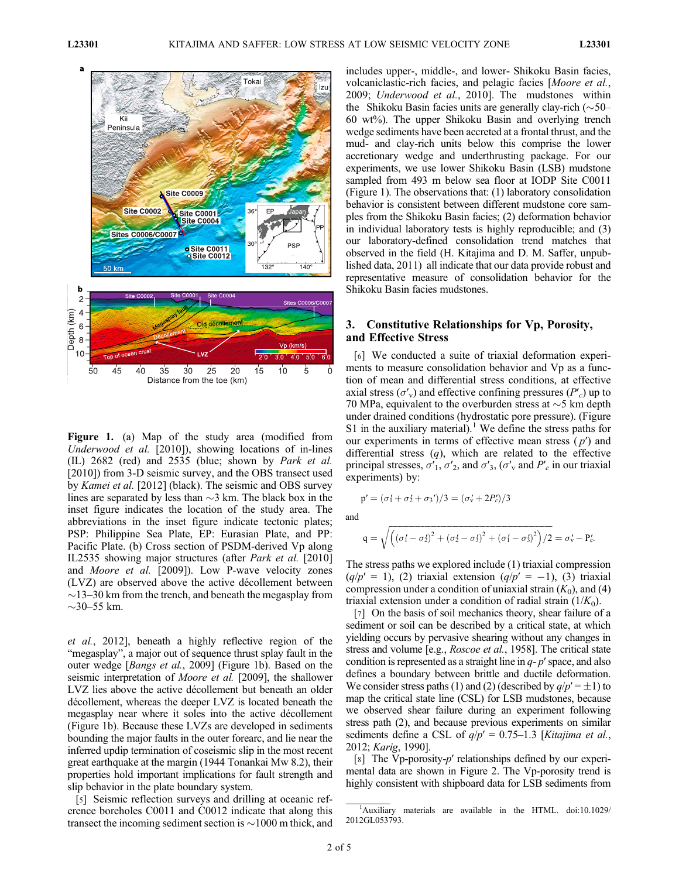

Figure 1. (a) Map of the study area (modified from Underwood et al. [2010]), showing locations of in-lines (IL) 2682 (red) and 2535 (blue; shown by Park et al. [2010]) from 3-D seismic survey, and the OBS transect used by Kamei et al. [2012] (black). The seismic and OBS survey lines are separated by less than  $\sim$ 3 km. The black box in the inset figure indicates the location of the study area. The abbreviations in the inset figure indicate tectonic plates; PSP: Philippine Sea Plate, EP: Eurasian Plate, and PP: Pacific Plate. (b) Cross section of PSDM-derived Vp along IL2535 showing major structures (after *Park et al.* [2010] and Moore et al. [2009]). Low P-wave velocity zones (LVZ) are observed above the active décollement between  $\sim$ 13–30 km from the trench, and beneath the megasplay from  $\sim$ 30–55 km.

et al., 2012], beneath a highly reflective region of the "megasplay", a major out of sequence thrust splay fault in the outer wedge [Bangs et al., 2009] (Figure 1b). Based on the seismic interpretation of *Moore et al.* [2009], the shallower LVZ lies above the active décollement but beneath an older décollement, whereas the deeper LVZ is located beneath the megasplay near where it soles into the active décollement (Figure 1b). Because these LVZs are developed in sediments bounding the major faults in the outer forearc, and lie near the inferred updip termination of coseismic slip in the most recent great earthquake at the margin (1944 Tonankai Mw 8.2), their properties hold important implications for fault strength and slip behavior in the plate boundary system.

[5] Seismic reflection surveys and drilling at oceanic reference boreholes C0011 and C0012 indicate that along this transect the incoming sediment section is  $\sim$ 1000 m thick, and includes upper-, middle-, and lower- Shikoku Basin facies, volcaniclastic-rich facies, and pelagic facies [Moore et al., 2009; Underwood et al., 2010]. The mudstones within the Shikoku Basin facies units are generally clay-rich  $(\sim 50$ – 60 wt%). The upper Shikoku Basin and overlying trench wedge sediments have been accreted at a frontal thrust, and the mud- and clay-rich units below this comprise the lower accretionary wedge and underthrusting package. For our experiments, we use lower Shikoku Basin (LSB) mudstone sampled from 493 m below sea floor at IODP Site C0011 (Figure 1). The observations that: (1) laboratory consolidation behavior is consistent between different mudstone core samples from the Shikoku Basin facies; (2) deformation behavior in individual laboratory tests is highly reproducible; and (3) our laboratory-defined consolidation trend matches that observed in the field (H. Kitajima and D. M. Saffer, unpublished data, 2011) all indicate that our data provide robust and representative measure of consolidation behavior for the Shikoku Basin facies mudstones.

## 3. Constitutive Relationships for Vp, Porosity, and Effective Stress

[6] We conducted a suite of triaxial deformation experiments to measure consolidation behavior and Vp as a function of mean and differential stress conditions, at effective axial stress ( $\sigma'$ <sub>v</sub>) and effective confining pressures ( $P'$ <sub>c</sub>) up to 70 MPa, equivalent to the overburden stress at  $\sim$ 5 km depth under drained conditions (hydrostatic pore pressure). (Figure S1 in the auxiliary material).<sup>1</sup> We define the stress paths for our experiments in terms of effective mean stress  $(p')$  and differential stress  $(q)$ , which are related to the effective principal stresses,  $\sigma'_{1}$ ,  $\sigma'_{2}$ , and  $\sigma'_{3}$ , ( $\sigma'_{v}$  and  $P'_{c}$  in our triaxial experiments) by:

$$
p' = (\sigma_1' + \sigma_2' + \sigma_3')/3 = (\sigma_v' + 2P_c')/3
$$

and

$$
q = \sqrt{\left(\left(\sigma_1' - \sigma_2'\right)^2 + \left(\sigma_2' - \sigma_3'\right)^2 + \left(\sigma_1' - \sigma_3'\right)^2\right)/2} = \sigma_v' - P_c'.
$$

The stress paths we explored include (1) triaxial compression  $(q/p' = 1)$ , (2) triaxial extension  $(q/p' = -1)$ , (3) triaxial compression under a condition of uniaxial strain  $(K_0)$ , and (4) triaxial extension under a condition of radial strain  $(1/K_0)$ .

[7] On the basis of soil mechanics theory, shear failure of a sediment or soil can be described by a critical state, at which yielding occurs by pervasive shearing without any changes in stress and volume [e.g., Roscoe et al., 1958]. The critical state condition is represented as a straight line in  $q-p'$  space, and also defines a boundary between brittle and ductile deformation. We consider stress paths (1) and (2) (described by  $q/p' = \pm 1$ ) to map the critical state line (CSL) for LSB mudstones, because we observed shear failure during an experiment following stress path (2), and because previous experiments on similar sediments define a CSL of  $q/p' = 0.75{\text -}1.3$  [Kitajima et al., 2012; Karig, 1990].

[8] The Vp-porosity-p' relationships defined by our experimental data are shown in Figure 2. The Vp-porosity trend is highly consistent with shipboard data for LSB sediments from

<sup>&</sup>lt;sup>1</sup>Auxiliary materials are available in the HTML. doi:10.1029/ 2012GL053793.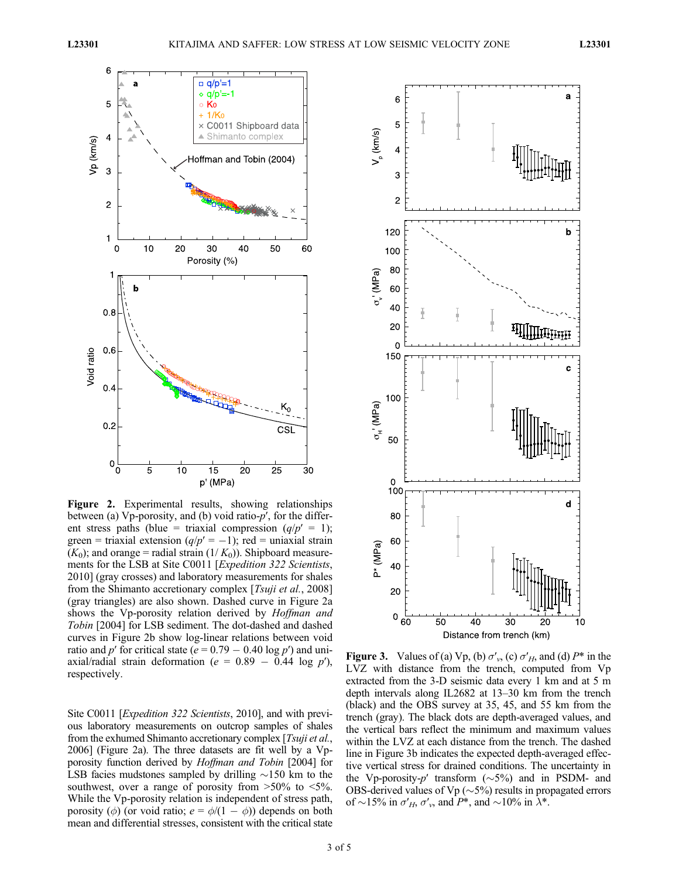

Figure 2. Experimental results, showing relationships between (a) Vp-porosity, and (b) void ratio-p′, for the different stress paths (blue = triaxial compression  $(q/p' = 1)$ ; green = triaxial extension  $(q/p' = -1)$ ; red = uniaxial strain  $(K_0)$ ; and orange = radial strain  $(1/K_0)$ ). Shipboard measurements for the LSB at Site C0011 [*Expedition 322 Scientists*, 2010] (gray crosses) and laboratory measurements for shales from the Shimanto accretionary complex [Tsuji et al., 2008] (gray triangles) are also shown. Dashed curve in Figure 2a shows the Vp-porosity relation derived by *Hoffman and* Tobin [2004] for LSB sediment. The dot-dashed and dashed curves in Figure 2b show log-linear relations between void ratio and p' for critical state ( $e = 0.79 - 0.40 \log p'$ ) and uniaxial/radial strain deformation ( $e = 0.89 - 0.44$  log p'), respectively.

Site C0011 [*Expedition 322 Scientists*, 2010], and with previous laboratory measurements on outcrop samples of shales from the exhumed Shimanto accretionary complex [Tsuji et al., 2006] (Figure 2a). The three datasets are fit well by a Vpporosity function derived by Hoffman and Tobin [2004] for LSB facies mudstones sampled by drilling  $\sim$ 150 km to the southwest, over a range of porosity from  $>50\%$  to  $<5\%$ . While the Vp-porosity relation is independent of stress path, porosity ( $\phi$ ) (or void ratio;  $e = \phi/(1 - \phi)$ ) depends on both mean and differential stresses, consistent with the critical state



Figure 3. Values of (a) Vp, (b)  $\sigma'_{v}$ , (c)  $\sigma'_{H}$ , and (d)  $P^*$  in the LVZ with distance from the trench, computed from Vp extracted from the 3-D seismic data every 1 km and at 5 m depth intervals along IL2682 at 13–30 km from the trench (black) and the OBS survey at 35, 45, and 55 km from the trench (gray). The black dots are depth-averaged values, and the vertical bars reflect the minimum and maximum values within the LVZ at each distance from the trench. The dashed line in Figure 3b indicates the expected depth-averaged effective vertical stress for drained conditions. The uncertainty in the Vp-porosity-p' transform  $(\sim 5\%)$  and in PSDM- and OBS-derived values of Vp ( $\sim$ 5%) results in propagated errors of  $\sim$ 15% in  $\sigma'_{H}$ ,  $\sigma'_{v}$ , and  $P^*$ , and  $\sim$ 10% in  $\lambda^*$ .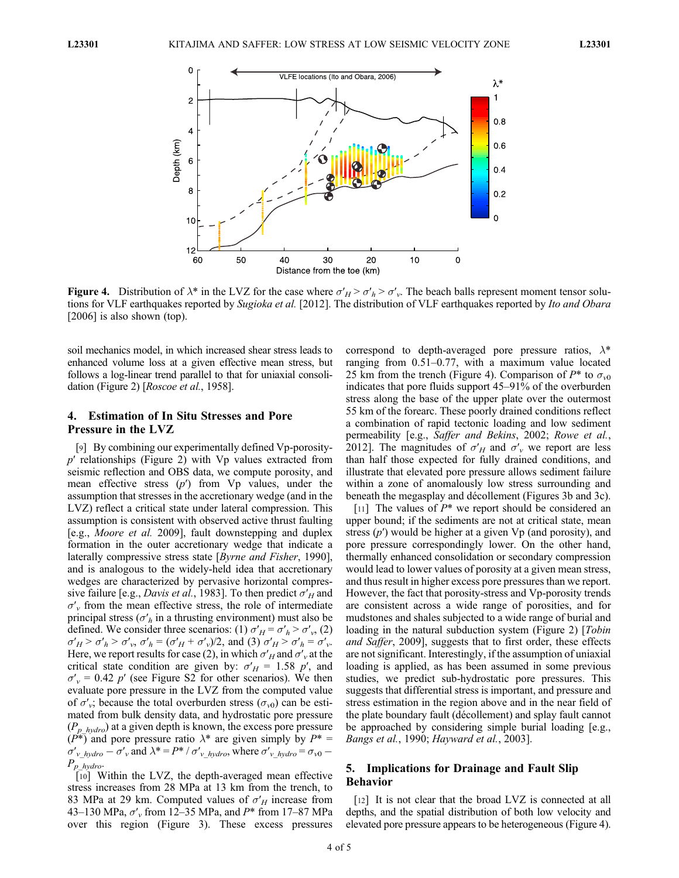

Figure 4. Distribution of  $\lambda^*$  in the LVZ for the case where  $\sigma'_H > \sigma'_h > \sigma'_v$ . The beach balls represent moment tensor solutions for VLF earthquakes reported by Sugioka et al. [2012]. The distribution of VLF earthquakes reported by Ito and Obara [2006] is also shown (top).

soil mechanics model, in which increased shear stress leads to enhanced volume loss at a given effective mean stress, but follows a log-linear trend parallel to that for uniaxial consolidation (Figure 2) [Roscoe et al., 1958].

# 4. Estimation of In Situ Stresses and Pore Pressure in the LVZ

[9] By combining our experimentally defined Vp-porosity $p'$  relationships (Figure 2) with  $Vp$  values extracted from seismic reflection and OBS data, we compute porosity, and mean effective stress  $(p')$  from  $Vp$  values, under the assumption that stresses in the accretionary wedge (and in the LVZ) reflect a critical state under lateral compression. This assumption is consistent with observed active thrust faulting [e.g., Moore et al. 2009], fault downstepping and duplex formation in the outer accretionary wedge that indicate a laterally compressive stress state [Byrne and Fisher, 1990], and is analogous to the widely-held idea that accretionary wedges are characterized by pervasive horizontal compressive failure [e.g., *Davis et al.*, 1983]. To then predict  $\sigma'_H$  and  $\sigma'$  from the mean effective stress, the role of intermediate principal stress ( $\sigma'_{h}$  in a thrusting environment) must also be defined. We consider three scenarios: (1)  $\sigma'_{H} = \sigma'_{h} > \sigma'_{v}$ , (2)  $\sigma'_{H} > \sigma'_{h} > \sigma'_{v}, \sigma'_{h} = (\sigma'_{H} + \sigma'_{v})/2$ , and (3)  $\sigma'_{H} > \sigma'_{h} = \sigma'_{v}$ . Here, we report results for case (2), in which  $\sigma'_H$  and  $\sigma'_v$  at the critical state condition are given by:  $\sigma'_{H} = 1.58 \, p'$ , and  $\sigma'_{v}$  = 0.42 p' (see Figure S2 for other scenarios). We then evaluate pore pressure in the LVZ from the computed value of  $\sigma'_{\nu}$ ; because the total overburden stress ( $\sigma_{\nu}$ ) can be estimated from bulk density data, and hydrostatic pore pressure  $(P_{p-hvdro})$  at a given depth is known, the excess pore pressure  $(P^*)$  and pore pressure ratio  $\lambda^*$  are given simply by  $P^* =$  $\sigma'_{v}$  hydro  $-\sigma'_{v}$  and  $\lambda^* = P^* / \sigma'_{v}$  hydro, where  $\sigma'_{v}$  hydro  $=\sigma_{v0}$  - $P_{p\_hydro}$ .

[10] Within the LVZ, the depth-averaged mean effective stress increases from 28 MPa at 13 km from the trench, to 83 MPa at 29 km. Computed values of  $\sigma'_{H}$  increase from 43–130 MPa,  $\sigma'$  from 12–35 MPa, and P\* from 17–87 MPa over this region (Figure 3). These excess pressures correspond to depth-averaged pore pressure ratios,  $\lambda^*$ ranging from 0.51–0.77, with a maximum value located 25 km from the trench (Figure 4). Comparison of  $P^*$  to  $\sigma_{v0}$ indicates that pore fluids support 45–91% of the overburden stress along the base of the upper plate over the outermost 55 km of the forearc. These poorly drained conditions reflect a combination of rapid tectonic loading and low sediment permeability [e.g., Saffer and Bekins, 2002; Rowe et al., 2012]. The magnitudes of  $\sigma'_H$  and  $\sigma'_v$  we report are less than half those expected for fully drained conditions, and illustrate that elevated pore pressure allows sediment failure within a zone of anomalously low stress surrounding and beneath the megasplay and décollement (Figures 3b and 3c).

[11] The values of  $P^*$  we report should be considered an upper bound; if the sediments are not at critical state, mean stress  $(p')$  would be higher at a given  $Vp$  (and porosity), and pore pressure correspondingly lower. On the other hand, thermally enhanced consolidation or secondary compression would lead to lower values of porosity at a given mean stress, and thus result in higher excess pore pressures than we report. However, the fact that porosity-stress and Vp-porosity trends are consistent across a wide range of porosities, and for mudstones and shales subjected to a wide range of burial and loading in the natural subduction system (Figure 2) [Tobin and Saffer, 2009], suggests that to first order, these effects are not significant. Interestingly, if the assumption of uniaxial loading is applied, as has been assumed in some previous studies, we predict sub-hydrostatic pore pressures. This suggests that differential stress is important, and pressure and stress estimation in the region above and in the near field of the plate boundary fault (décollement) and splay fault cannot be approached by considering simple burial loading [e.g., Bangs et al., 1990; Hayward et al., 2003].

# 5. Implications for Drainage and Fault Slip Behavior

[12] It is not clear that the broad LVZ is connected at all depths, and the spatial distribution of both low velocity and elevated pore pressure appears to be heterogeneous (Figure 4).